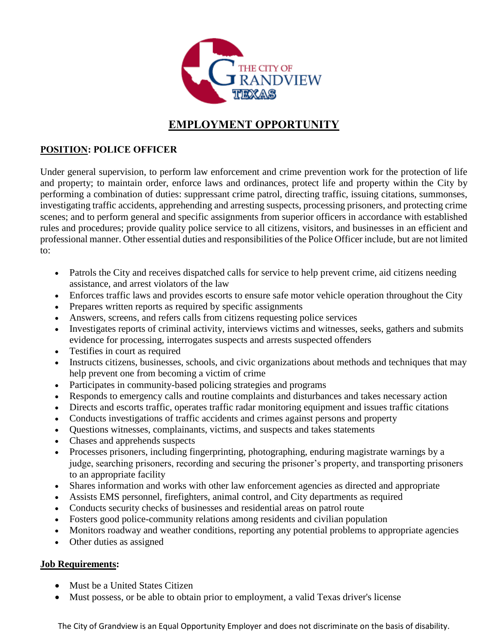

# **EMPLOYMENT OPPORTUNITY**

## **POSITION: POLICE OFFICER**

Under general supervision, to perform law enforcement and crime prevention work for the protection of life and property; to maintain order, enforce laws and ordinances, protect life and property within the City by performing a combination of duties: suppressant crime patrol, directing traffic, issuing citations, summonses, investigating traffic accidents, apprehending and arresting suspects, processing prisoners, and protecting crime scenes; and to perform general and specific assignments from superior officers in accordance with established rules and procedures; provide quality police service to all citizens, visitors, and businesses in an efficient and professional manner. Other essential duties and responsibilities of the Police Officer include, but are not limited to:

- Patrols the City and receives dispatched calls for service to help prevent crime, aid citizens needing assistance, and arrest violators of the law
- Enforces traffic laws and provides escorts to ensure safe motor vehicle operation throughout the City
- Prepares written reports as required by specific assignments
- Answers, screens, and refers calls from citizens requesting police services
- Investigates reports of criminal activity, interviews victims and witnesses, seeks, gathers and submits evidence for processing, interrogates suspects and arrests suspected offenders
- Testifies in court as required
- Instructs citizens, businesses, schools, and civic organizations about methods and techniques that may help prevent one from becoming a victim of crime
- Participates in community-based policing strategies and programs
- Responds to emergency calls and routine complaints and disturbances and takes necessary action
- Directs and escorts traffic, operates traffic radar monitoring equipment and issues traffic citations
- Conducts investigations of traffic accidents and crimes against persons and property
- Questions witnesses, complainants, victims, and suspects and takes statements
- Chases and apprehends suspects
- Processes prisoners, including fingerprinting, photographing, enduring magistrate warnings by a judge, searching prisoners, recording and securing the prisoner's property, and transporting prisoners to an appropriate facility
- Shares information and works with other law enforcement agencies as directed and appropriate
- Assists EMS personnel, firefighters, animal control, and City departments as required
- Conducts security checks of businesses and residential areas on patrol route
- Fosters good police-community relations among residents and civilian population
- Monitors roadway and weather conditions, reporting any potential problems to appropriate agencies
- Other duties as assigned

## **Job Requirements:**

- Must be a United States Citizen
- Must possess, or be able to obtain prior to employment, a valid Texas driver's license

The City of Grandview is an Equal Opportunity Employer and does not discriminate on the basis of disability.